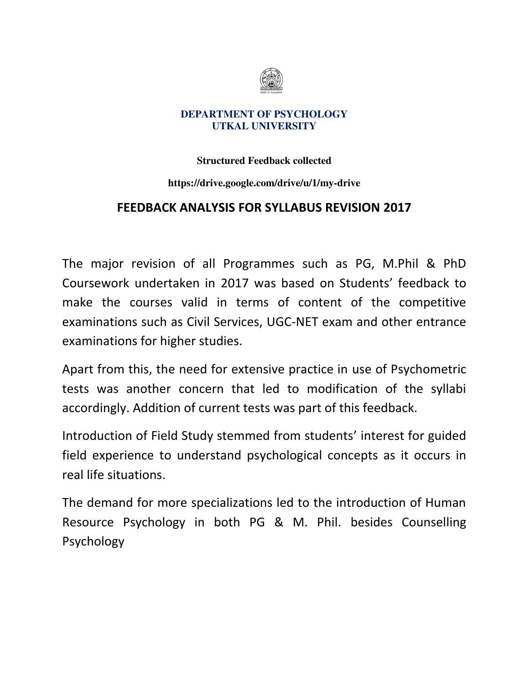

### **Structured Feedback collected**

### **https://drive.google.com/drive/u/1/my-drive**

### **FEEDBACK ANALYSIS FOR SYLLABUS REVISION 2017**

The major revision of all Programmes such as PG, M.Phil & PhD Coursework undertaken in 2017 was based on Students' feedback to make the courses valid in terms of content of the competitive examinations such as Civil Services, UGC-NET exam and other entrance examinations for higher studies.

Apart from this, the need for extensive practice in use of Psychometric tests was another concern that led to modification of the syllabi accordingly. Addition of current tests was part of this feedback.

Introduction of Field Study stemmed from students' interest for guided field experience to understand psychological concepts as it occurs in real life situations.

The demand for more specializations led to the introduction of Human Resource Psychology in both PG & M. Phil. besides Counselling Psychology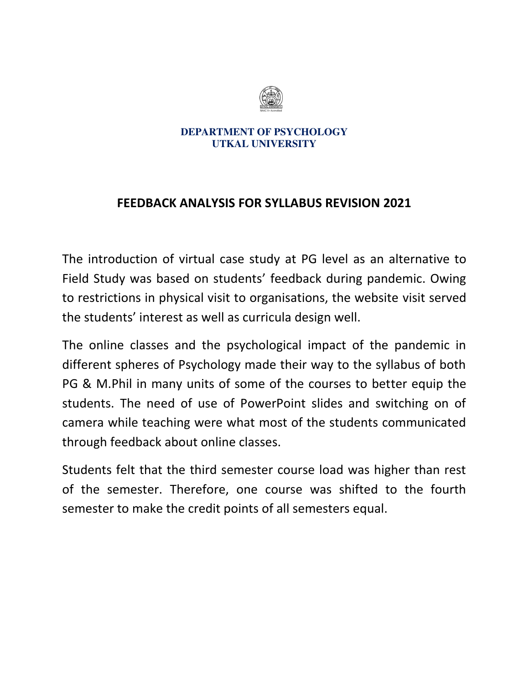

## **FEEDBACK ANALYSIS FOR SYLLABUS REVISION 2021**

The introduction of virtual case study at PG level as an alternative to Field Study was based on students' feedback during pandemic. Owing to restrictions in physical visit to organisations, the website visit served the students' interest as well as curricula design well.

The online classes and the psychological impact of the pandemic in different spheres of Psychology made their way to the syllabus of both PG & M.Phil in many units of some of the courses to better equip the students. The need of use of PowerPoint slides and switching on of camera while teaching were what most of the students communicated through feedback about online classes.

Students felt that the third semester course load was higher than rest of the semester. Therefore, one course was shifted to the fourth semester to make the credit points of all semesters equal.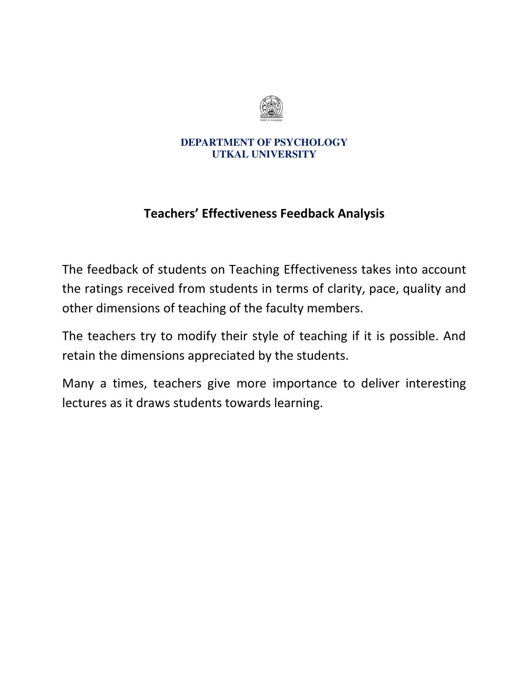

# **Teachers' Effectiveness Feedback Analysis**

The feedback of students on Teaching Effectiveness takes into account the ratings received from students in terms of clarity, pace, quality and other dimensions of teaching of the faculty members.

The teachers try to modify their style of teaching if it is possible. And retain the dimensions appreciated by the students.

Many a times, teachers give more importance to deliver interesting lectures as it draws students towards learning.